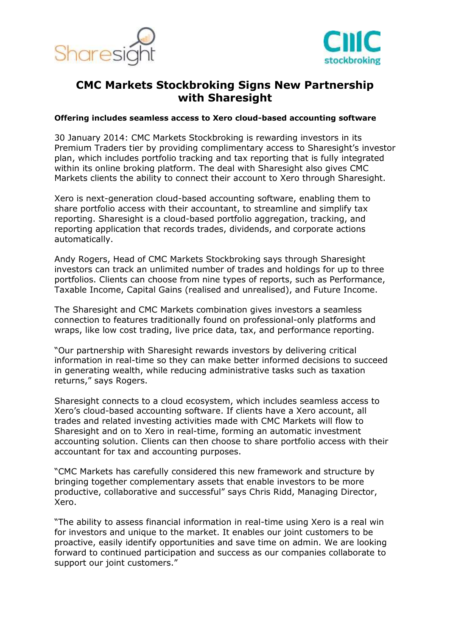



# **CMC Markets Stockbroking Signs New Partnership with Sharesight**

#### **Offering includes seamless access to Xero cloud-based accounting software**

30 January 2014: CMC Markets Stockbroking is rewarding investors in its Premium Traders tier by providing complimentary access to Sharesight's investor plan, which includes portfolio tracking and tax reporting that is fully integrated within its online broking platform. The deal with Sharesight also gives CMC Markets clients the ability to connect their account to Xero through Sharesight.

Xero is next-generation cloud-based accounting software, enabling them to share portfolio access with their accountant, to streamline and simplify tax reporting. Sharesight is a cloud-based portfolio aggregation, tracking, and reporting application that records trades, dividends, and corporate actions automatically.

Andy Rogers, Head of CMC Markets Stockbroking says through Sharesight investors can track an unlimited number of trades and holdings for up to three portfolios. Clients can choose from nine types of reports, such as Performance, Taxable Income, Capital Gains (realised and unrealised), and Future Income.

The Sharesight and CMC Markets combination gives investors a seamless connection to features traditionally found on professional-only platforms and wraps, like low cost trading, live price data, tax, and performance reporting.

"Our partnership with Sharesight rewards investors by delivering critical information in real-time so they can make better informed decisions to succeed in generating wealth, while reducing administrative tasks such as taxation returns," says Rogers.

Sharesight connects to a cloud ecosystem, which includes seamless access to Xero's cloud-based accounting software. If clients have a Xero account, all trades and related investing activities made with CMC Markets will flow to Sharesight and on to Xero in real-time, forming an automatic investment accounting solution. Clients can then choose to share portfolio access with their accountant for tax and accounting purposes.

"CMC Markets has carefully considered this new framework and structure by bringing together complementary assets that enable investors to be more productive, collaborative and successful" says Chris Ridd, Managing Director, Xero.

"The ability to assess financial information in real-time using Xero is a real win for investors and unique to the market. It enables our joint customers to be proactive, easily identify opportunities and save time on admin. We are looking forward to continued participation and success as our companies collaborate to support our joint customers."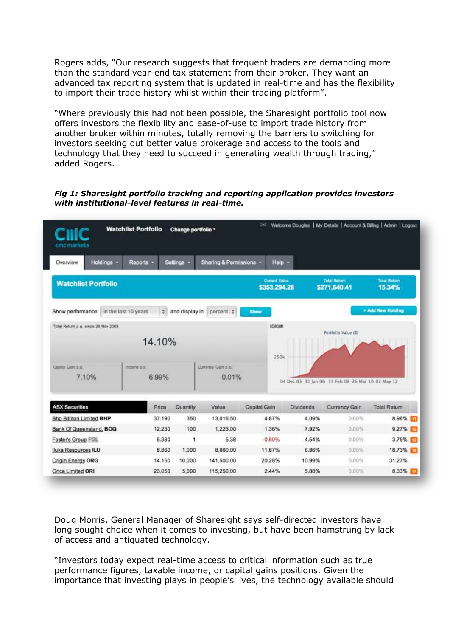Rogers adds, "Our research suggests that frequent traders are demanding more than the standard year-end tax statement from their broker. They want an advanced tax reporting system that is updated in real-time and has the flexibility to import their trade history whilst within their trading platform".

"Where previously this had not been possible, the Sharesight portfolio tool now offers investors the flexibility and ease-of-use to import trade history from another broker within minutes, totally removing the barriers to switching for investors seeking out better value brokerage and access to the tools and technology that they need to succeed in generating wealth through trading," added Rogers.

*Fig 1: Sharesight portfolio tracking and reporting application provides investors with institutional-level features in real-time.* 



Doug Morris, General Manager of Sharesight says self-directed investors have long sought choice when it comes to investing, but have been hamstrung by lack of access and antiquated technology.

"Investors today expect real-time access to critical information such as true performance figures, taxable income, or capital gains positions. Given the importance that investing plays in people's lives, the technology available should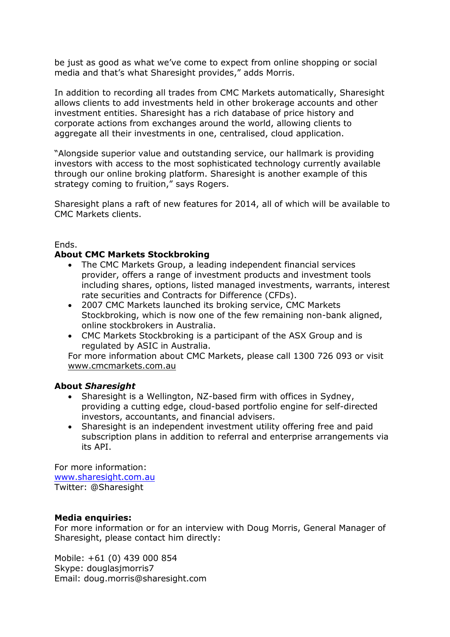be just as good as what we've come to expect from online shopping or social media and that's what Sharesight provides," adds Morris.

In addition to recording all trades from CMC Markets automatically, Sharesight allows clients to add investments held in other brokerage accounts and other investment entities. Sharesight has a rich database of price history and corporate actions from exchanges around the world, allowing clients to aggregate all their investments in one, centralised, cloud application.

"Alongside superior value and outstanding service, our hallmark is providing investors with access to the most sophisticated technology currently available through our online broking platform. Sharesight is another example of this strategy coming to fruition," says Rogers.

Sharesight plans a raft of new features for 2014, all of which will be available to CMC Markets clients.

#### Ends.

## **About CMC Markets Stockbroking**

- The CMC Markets Group, a leading independent financial services provider, offers a range of investment products and investment tools including shares, options, listed managed investments, warrants, interest rate securities and Contracts for Difference (CFDs).
- 2007 CMC Markets launched its broking service, CMC Markets Stockbroking, which is now one of the few remaining non-bank aligned, online stockbrokers in Australia.
- CMC Markets Stockbroking is a participant of the ASX Group and is regulated by ASIC in Australia.

For more information about CMC Markets, please call 1300 726 093 or visit [www.cmcmarkets.com.au](http://www.cmcmarkets.com.au/)

## **About** *Sharesight*

- Sharesight is a Wellington, NZ-based firm with offices in Sydney, providing a cutting edge, cloud-based portfolio engine for self-directed investors, accountants, and financial advisers.
- Sharesight is an independent investment utility offering free and paid subscription plans in addition to referral and enterprise arrangements via its API.

For more information: [www.sharesight.com.au](http://www.sharesight.com.au/) Twitter: @Sharesight

## **Media enquiries:**

For more information or for an interview with Doug Morris, General Manager of Sharesight, please contact him directly:

Mobile: +61 (0) 439 000 854 Skype: douglasjmorris7 Email: doug.morris@sharesight.com